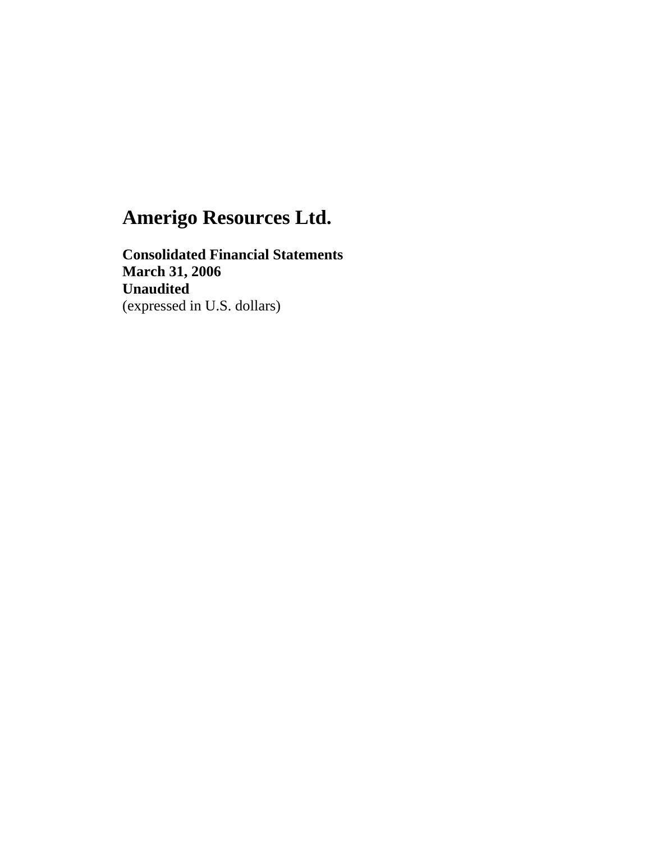**Consolidated Financial Statements March 31, 2006 Unaudited**  (expressed in U.S. dollars)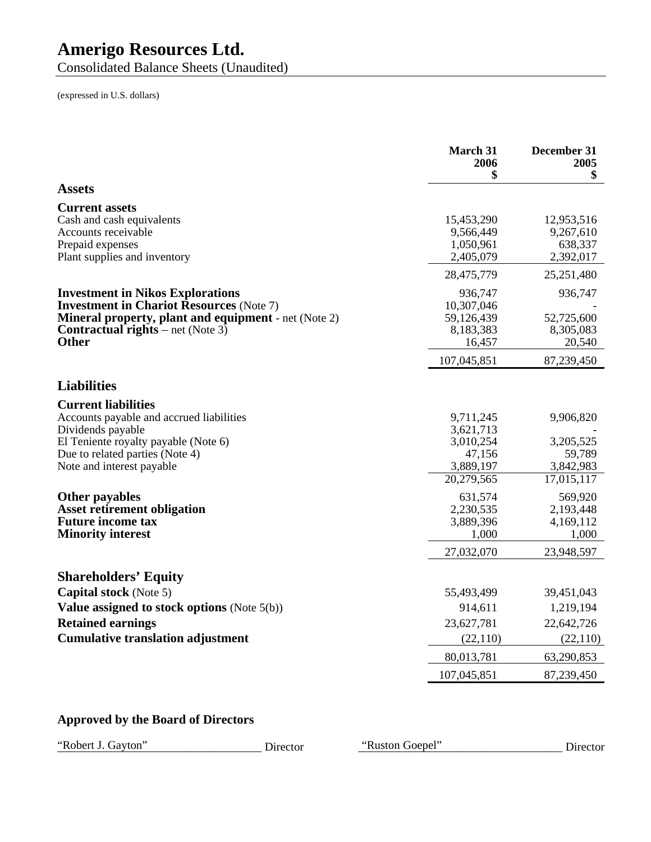Consolidated Balance Sheets (Unaudited)

(expressed in U.S. dollars)

|                                                                                                                                                                                                                       | <b>March 31</b><br>2006<br>\$                                            | December 31<br>2005<br>\$                                   |
|-----------------------------------------------------------------------------------------------------------------------------------------------------------------------------------------------------------------------|--------------------------------------------------------------------------|-------------------------------------------------------------|
| <b>Assets</b>                                                                                                                                                                                                         |                                                                          |                                                             |
| <b>Current assets</b><br>Cash and cash equivalents<br>Accounts receivable<br>Prepaid expenses<br>Plant supplies and inventory                                                                                         | 15,453,290<br>9,566,449<br>1,050,961<br>2,405,079                        | 12,953,516<br>9,267,610<br>638,337<br>2,392,017             |
|                                                                                                                                                                                                                       | 28,475,779                                                               | 25,251,480                                                  |
| <b>Investment in Nikos Explorations</b><br><b>Investment in Chariot Resources (Note 7)</b><br><b>Mineral property, plant and equipment - net (Note 2)</b><br><b>Contractual rights</b> – net (Note 3)<br><b>Other</b> | 936,747<br>10,307,046<br>59,126,439<br>8,183,383<br>16,457               | 936,747<br>52,725,600<br>8,305,083<br>20,540                |
|                                                                                                                                                                                                                       | 107,045,851                                                              | 87,239,450                                                  |
| <b>Liabilities</b>                                                                                                                                                                                                    |                                                                          |                                                             |
| <b>Current liabilities</b><br>Accounts payable and accrued liabilities<br>Dividends payable<br>El Teniente royalty payable (Note 6)<br>Due to related parties (Note 4)<br>Note and interest payable                   | 9,711,245<br>3,621,713<br>3,010,254<br>47,156<br>3,889,197<br>20,279,565 | 9,906,820<br>3,205,525<br>59,789<br>3,842,983<br>17,015,117 |
| Other payables<br><b>Asset retirement obligation</b><br><b>Future income tax</b><br><b>Minority interest</b>                                                                                                          | 631,574<br>2,230,535<br>3,889,396<br>1,000<br>27,032,070                 | 569,920<br>2,193,448<br>4,169,112<br>1,000<br>23,948,597    |
| <b>Shareholders' Equity</b><br><b>Capital stock</b> (Note 5)                                                                                                                                                          | 55,493,499                                                               | 39,451,043                                                  |
| Value assigned to stock options (Note $5(b)$ )<br><b>Retained earnings</b><br><b>Cumulative translation adjustment</b>                                                                                                | 914,611<br>23,627,781<br>(22, 110)                                       | 1,219,194<br>22,642,726<br>(22, 110)                        |
|                                                                                                                                                                                                                       | 80,013,781                                                               | 63,290,853                                                  |
|                                                                                                                                                                                                                       | 107,045,851                                                              | 87,239,450                                                  |

### **Approved by the Board of Directors**

"Robert J. Gayton" Christian Corporation Corporation Corporation Corporation Corporation Corporation Corporation Corporation Corporation Corporation Corporation Corporation Corporation Corporation Corporation Corporation C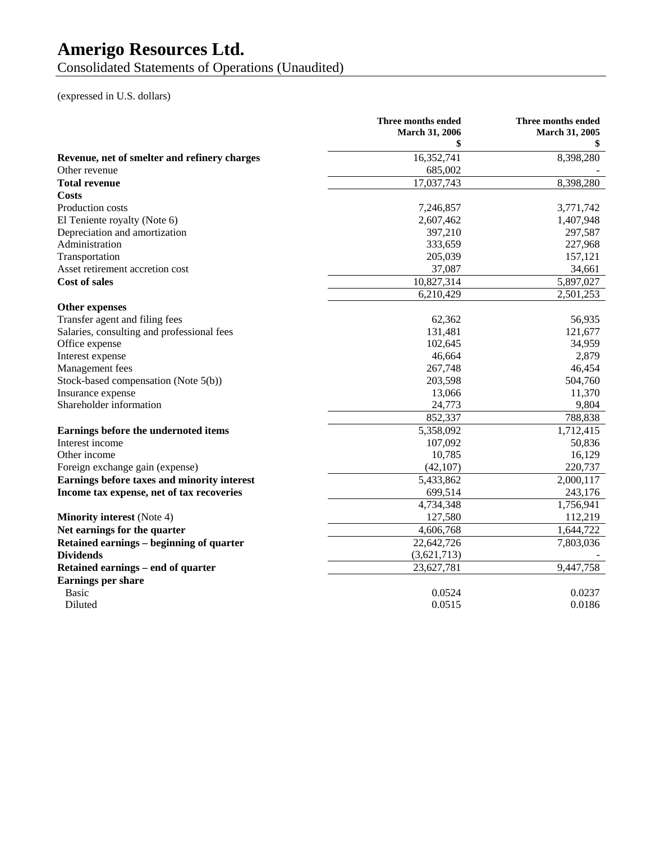Consolidated Statements of Operations (Unaudited)

(expressed in U.S. dollars)

|                                              | Three months ended<br><b>March 31, 2006</b> | Three months ended<br><b>March 31, 2005</b> |
|----------------------------------------------|---------------------------------------------|---------------------------------------------|
|                                              | \$                                          |                                             |
| Revenue, net of smelter and refinery charges | 16,352,741                                  | 8,398,280                                   |
| Other revenue                                | 685,002                                     |                                             |
| <b>Total revenue</b>                         | 17,037,743                                  | 8,398,280                                   |
| <b>Costs</b>                                 |                                             |                                             |
| Production costs                             | 7,246,857                                   | 3,771,742                                   |
| El Teniente royalty (Note 6)                 | 2,607,462                                   | 1,407,948                                   |
| Depreciation and amortization                | 397,210                                     | 297,587                                     |
| Administration                               | 333,659                                     | 227,968                                     |
| Transportation                               | 205,039                                     | 157,121                                     |
| Asset retirement accretion cost              | 37,087                                      | 34,661                                      |
| <b>Cost of sales</b>                         | 10,827,314                                  | 5,897,027                                   |
|                                              | 6,210,429                                   | 2,501,253                                   |
| <b>Other expenses</b>                        |                                             |                                             |
| Transfer agent and filing fees               | 62,362                                      | 56,935                                      |
| Salaries, consulting and professional fees   | 131,481                                     | 121,677                                     |
| Office expense                               | 102,645                                     | 34,959                                      |
| Interest expense                             | 46,664                                      | 2,879                                       |
| Management fees                              | 267,748                                     | 46,454                                      |
| Stock-based compensation (Note 5(b))         | 203,598                                     | 504,760                                     |
| Insurance expense                            | 13,066                                      | 11,370                                      |
| Shareholder information                      | 24,773                                      | 9,804                                       |
|                                              | 852,337                                     | 788,838                                     |
| Earnings before the undernoted items         | 5,358,092                                   | 1,712,415                                   |
| Interest income                              | 107,092                                     | 50,836                                      |
| Other income                                 | 10,785                                      | 16,129                                      |
| Foreign exchange gain (expense)              | (42, 107)                                   | 220,737                                     |
| Earnings before taxes and minority interest  | 5,433,862                                   | 2,000,117                                   |
| Income tax expense, net of tax recoveries    | 699,514                                     | 243,176                                     |
|                                              | 4,734,348                                   | 1,756,941                                   |
| <b>Minority interest</b> (Note 4)            | 127,580                                     | 112,219                                     |
| Net earnings for the quarter                 | 4,606,768                                   | 1,644,722                                   |
| Retained earnings – beginning of quarter     | 22,642,726                                  | 7,803,036                                   |
| <b>Dividends</b>                             | (3,621,713)                                 |                                             |
| Retained earnings – end of quarter           | 23,627,781                                  | 9,447,758                                   |
| Earnings per share                           |                                             |                                             |
| <b>Basic</b>                                 | 0.0524                                      | 0.0237                                      |
| Diluted                                      | 0.0515                                      | 0.0186                                      |
|                                              |                                             |                                             |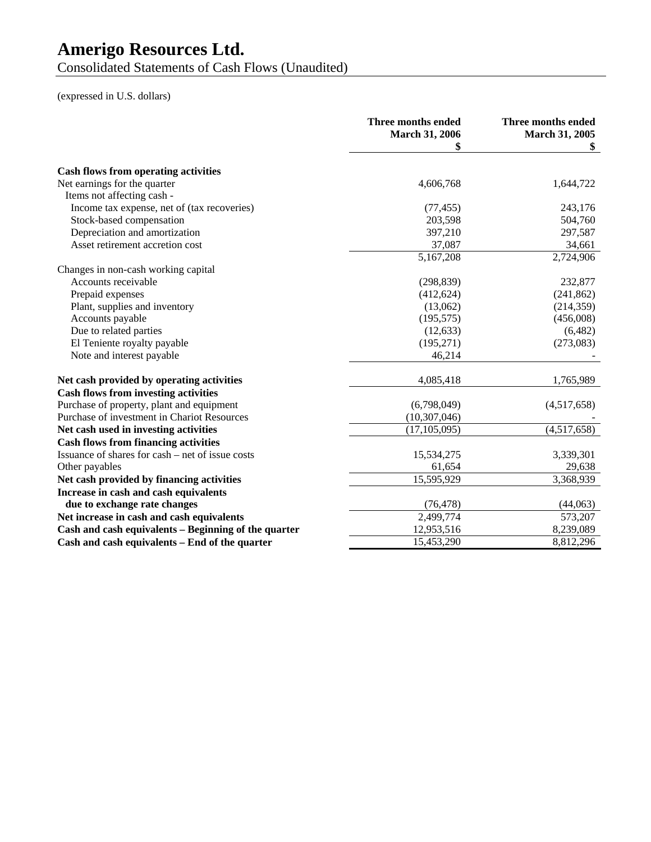Consolidated Statements of Cash Flows (Unaudited)

(expressed in U.S. dollars)

|                                                      | Three months ended<br><b>March 31, 2006</b><br>\$ | Three months ended<br>March 31, 2005<br>SS. |
|------------------------------------------------------|---------------------------------------------------|---------------------------------------------|
|                                                      |                                                   |                                             |
| <b>Cash flows from operating activities</b>          |                                                   |                                             |
| Net earnings for the quarter                         | 4,606,768                                         | 1,644,722                                   |
| Items not affecting cash -                           |                                                   |                                             |
| Income tax expense, net of (tax recoveries)          | (77, 455)                                         | 243,176                                     |
| Stock-based compensation                             | 203,598                                           | 504,760                                     |
| Depreciation and amortization                        | 397,210                                           | 297,587                                     |
| Asset retirement accretion cost                      | 37,087                                            | 34,661                                      |
|                                                      | 5,167,208                                         | 2,724,906                                   |
| Changes in non-cash working capital                  |                                                   |                                             |
| Accounts receivable                                  | (298, 839)                                        | 232,877                                     |
| Prepaid expenses                                     | (412, 624)                                        | (241, 862)                                  |
| Plant, supplies and inventory                        | (13,062)                                          | (214, 359)                                  |
| Accounts payable                                     | (195, 575)                                        | (456,008)                                   |
| Due to related parties                               | (12, 633)                                         | (6,482)                                     |
| El Teniente royalty payable                          | (195, 271)                                        | (273,083)                                   |
| Note and interest payable                            | 46,214                                            |                                             |
| Net cash provided by operating activities            | 4,085,418                                         | 1,765,989                                   |
| <b>Cash flows from investing activities</b>          |                                                   |                                             |
| Purchase of property, plant and equipment            | (6,798,049)                                       | (4,517,658)                                 |
| Purchase of investment in Chariot Resources          | (10, 307, 046)                                    |                                             |
| Net cash used in investing activities                | (17, 105, 095)                                    | (4,517,658)                                 |
| <b>Cash flows from financing activities</b>          |                                                   |                                             |
| Issuance of shares for cash – net of issue costs     | 15,534,275                                        | 3,339,301                                   |
| Other payables                                       | 61,654                                            | 29,638                                      |
| Net cash provided by financing activities            | 15,595,929                                        | 3,368,939                                   |
| Increase in cash and cash equivalents                |                                                   |                                             |
| due to exchange rate changes                         | (76, 478)                                         | (44,063)                                    |
| Net increase in cash and cash equivalents            | 2,499,774                                         | 573,207                                     |
| Cash and cash equivalents - Beginning of the quarter | 12,953,516                                        | 8,239,089                                   |
| Cash and cash equivalents - End of the quarter       | 15,453,290                                        | 8,812,296                                   |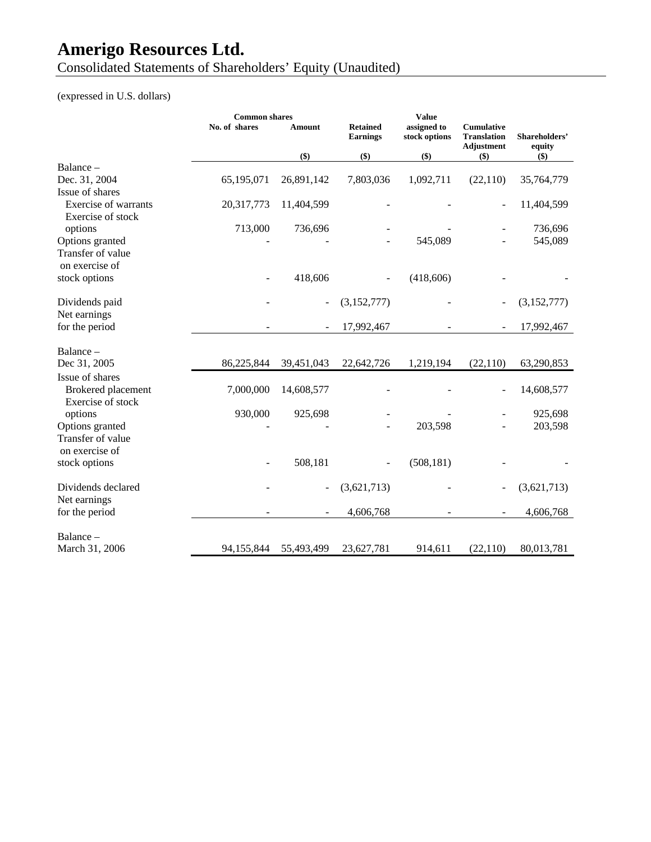Consolidated Statements of Shareholders' Equity (Unaudited)

### (expressed in U.S. dollars)

|                             | <b>Common shares</b> |            |                                    | <b>Value</b>                 |                                                       |                         |
|-----------------------------|----------------------|------------|------------------------------------|------------------------------|-------------------------------------------------------|-------------------------|
|                             | No. of shares        | Amount     | <b>Retained</b><br><b>Earnings</b> | assigned to<br>stock options | <b>Cumulative</b><br><b>Translation</b><br>Adjustment | Shareholders'<br>equity |
|                             |                      | $($ \$)    | $($ \$)                            | $($)$                        | $($ \$)                                               | $($)$                   |
| Balance –                   |                      |            |                                    |                              |                                                       |                         |
| Dec. 31, 2004               | 65,195,071           | 26,891,142 | 7,803,036                          | 1,092,711                    | (22, 110)                                             | 35,764,779              |
| Issue of shares             |                      |            |                                    |                              |                                                       |                         |
| <b>Exercise of warrants</b> | 20,317,773           | 11,404,599 |                                    |                              |                                                       | 11,404,599              |
| Exercise of stock           |                      |            |                                    |                              |                                                       |                         |
| options                     | 713,000              | 736,696    |                                    |                              |                                                       | 736,696                 |
| Options granted             |                      |            |                                    | 545,089                      |                                                       | 545,089                 |
| Transfer of value           |                      |            |                                    |                              |                                                       |                         |
| on exercise of              |                      |            |                                    |                              |                                                       |                         |
| stock options               |                      | 418,606    |                                    | (418, 606)                   |                                                       |                         |
| Dividends paid              |                      |            | (3,152,777)                        |                              | $\qquad \qquad -$                                     | (3,152,777)             |
| Net earnings                |                      |            |                                    |                              |                                                       |                         |
| for the period              |                      |            | 17,992,467                         |                              | $\overline{\phantom{a}}$                              | 17,992,467              |
| Balance-                    |                      |            |                                    |                              |                                                       |                         |
| Dec 31, 2005                | 86,225,844           | 39,451,043 | 22,642,726                         | 1,219,194                    | (22, 110)                                             | 63,290,853              |
| Issue of shares             |                      |            |                                    |                              |                                                       |                         |
| Brokered placement          | 7,000,000            | 14,608,577 |                                    |                              |                                                       | 14,608,577              |
| Exercise of stock           |                      |            |                                    |                              |                                                       |                         |
| options                     | 930,000              | 925,698    |                                    |                              |                                                       | 925,698                 |
| Options granted             |                      |            |                                    | 203,598                      |                                                       | 203,598                 |
| Transfer of value           |                      |            |                                    |                              |                                                       |                         |
| on exercise of              |                      |            |                                    |                              |                                                       |                         |
| stock options               |                      | 508,181    |                                    | (508, 181)                   |                                                       |                         |
| Dividends declared          |                      | ۰          | (3,621,713)                        |                              |                                                       | (3,621,713)             |
| Net earnings                |                      |            |                                    |                              |                                                       |                         |
| for the period              |                      |            | 4,606,768                          |                              |                                                       | 4,606,768               |
| Balance -                   |                      |            |                                    |                              |                                                       |                         |
| March 31, 2006              | 94,155,844           | 55,493,499 | 23,627,781                         | 914,611                      | (22,110)                                              | 80,013,781              |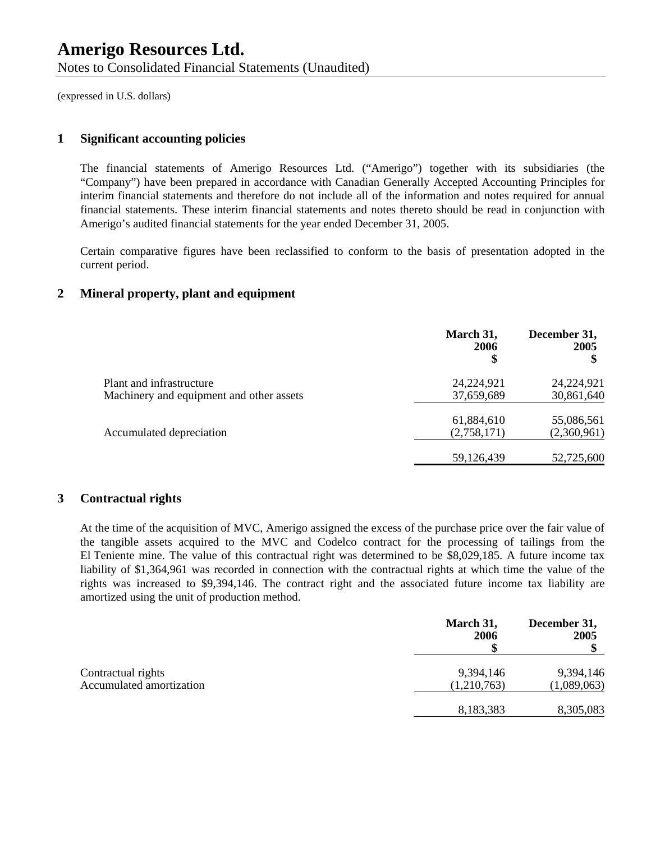#### **1 Significant accounting policies**

The financial statements of Amerigo Resources Ltd. ("Amerigo") together with its subsidiaries (the "Company") have been prepared in accordance with Canadian Generally Accepted Accounting Principles for interim financial statements and therefore do not include all of the information and notes required for annual financial statements. These interim financial statements and notes thereto should be read in conjunction with Amerigo's audited financial statements for the year ended December 31, 2005.

Certain comparative figures have been reclassified to conform to the basis of presentation adopted in the current period.

### **2 Mineral property, plant and equipment**

|                                          | March 31,<br>2006<br>\$ | December 31,<br>2005<br>S |
|------------------------------------------|-------------------------|---------------------------|
| Plant and infrastructure                 | 24,224,921              | 24,224,921                |
| Machinery and equipment and other assets | 37,659,689              | 30,861,640                |
|                                          | 61,884,610              | 55,086,561                |
| Accumulated depreciation                 | (2,758,171)             | (2,360,961)               |
|                                          | 59,126,439              | 52,725,600                |

#### **3 Contractual rights**

At the time of the acquisition of MVC, Amerigo assigned the excess of the purchase price over the fair value of the tangible assets acquired to the MVC and Codelco contract for the processing of tailings from the El Teniente mine. The value of this contractual right was determined to be \$8,029,185. A future income tax liability of \$1,364,961 was recorded in connection with the contractual rights at which time the value of the rights was increased to \$9,394,146. The contract right and the associated future income tax liability are amortized using the unit of production method.

|                          | March 31,<br><b>2006</b> | December 31,<br>2005 |
|--------------------------|--------------------------|----------------------|
| Contractual rights       | 9,394,146                | 9,394,146            |
| Accumulated amortization | (1,210,763)              | (1,089,063)          |
|                          | 8,183,383                | 8,305,083            |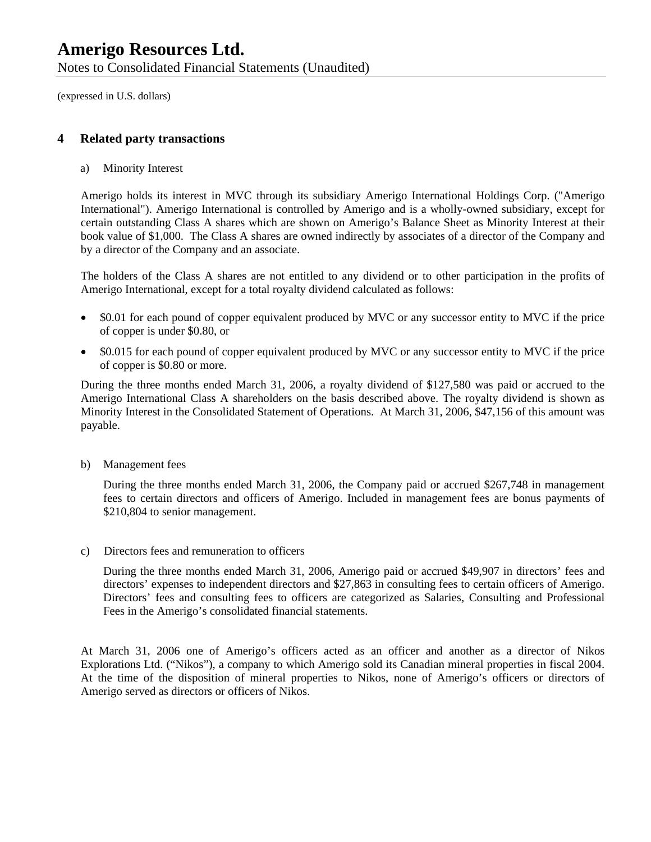Notes to Consolidated Financial Statements (Unaudited)

(expressed in U.S. dollars)

#### **4 Related party transactions**

a) Minority Interest

Amerigo holds its interest in MVC through its subsidiary Amerigo International Holdings Corp. ("Amerigo International"). Amerigo International is controlled by Amerigo and is a wholly-owned subsidiary, except for certain outstanding Class A shares which are shown on Amerigo's Balance Sheet as Minority Interest at their book value of \$1,000. The Class A shares are owned indirectly by associates of a director of the Company and by a director of the Company and an associate.

The holders of the Class A shares are not entitled to any dividend or to other participation in the profits of Amerigo International, except for a total royalty dividend calculated as follows:

- \$0.01 for each pound of copper equivalent produced by MVC or any successor entity to MVC if the price of copper is under \$0.80, or
- \$0.015 for each pound of copper equivalent produced by MVC or any successor entity to MVC if the price of copper is \$0.80 or more.

During the three months ended March 31, 2006, a royalty dividend of \$127,580 was paid or accrued to the Amerigo International Class A shareholders on the basis described above. The royalty dividend is shown as Minority Interest in the Consolidated Statement of Operations. At March 31, 2006, \$47,156 of this amount was payable.

b) Management fees

During the three months ended March 31, 2006, the Company paid or accrued \$267,748 in management fees to certain directors and officers of Amerigo. Included in management fees are bonus payments of \$210,804 to senior management.

c) Directors fees and remuneration to officers

During the three months ended March 31, 2006, Amerigo paid or accrued \$49,907 in directors' fees and directors' expenses to independent directors and \$27,863 in consulting fees to certain officers of Amerigo. Directors' fees and consulting fees to officers are categorized as Salaries, Consulting and Professional Fees in the Amerigo's consolidated financial statements.

At March 31, 2006 one of Amerigo's officers acted as an officer and another as a director of Nikos Explorations Ltd. ("Nikos"), a company to which Amerigo sold its Canadian mineral properties in fiscal 2004. At the time of the disposition of mineral properties to Nikos, none of Amerigo's officers or directors of Amerigo served as directors or officers of Nikos.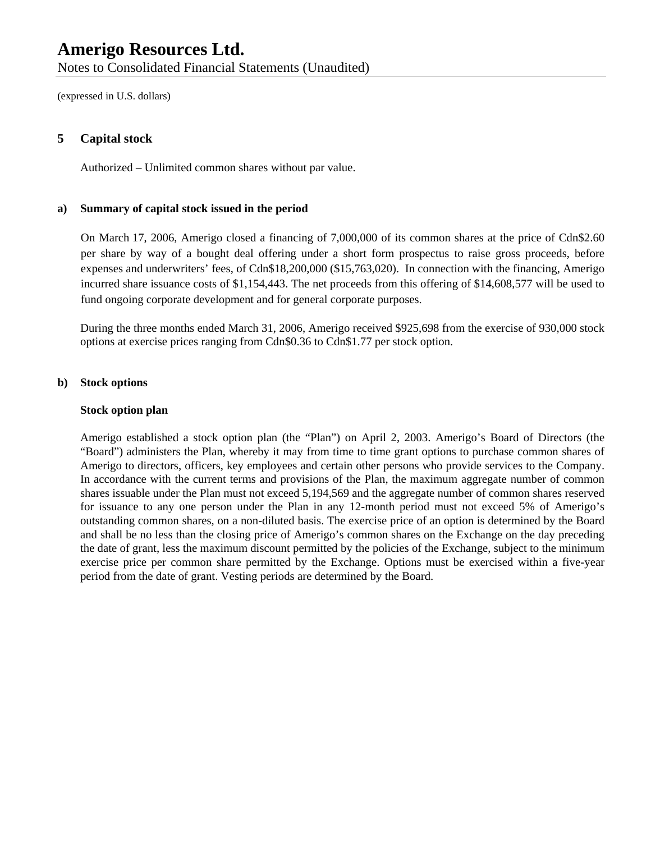Notes to Consolidated Financial Statements (Unaudited)

(expressed in U.S. dollars)

#### **5 Capital stock**

Authorized – Unlimited common shares without par value.

#### **a) Summary of capital stock issued in the period**

On March 17, 2006, Amerigo closed a financing of 7,000,000 of its common shares at the price of Cdn\$2.60 per share by way of a bought deal offering under a short form prospectus to raise gross proceeds, before expenses and underwriters' fees, of Cdn\$18,200,000 (\$15,763,020). In connection with the financing, Amerigo incurred share issuance costs of \$1,154,443. The net proceeds from this offering of \$14,608,577 will be used to fund ongoing corporate development and for general corporate purposes.

During the three months ended March 31, 2006, Amerigo received \$925,698 from the exercise of 930,000 stock options at exercise prices ranging from Cdn\$0.36 to Cdn\$1.77 per stock option.

#### **b) Stock options**

#### **Stock option plan**

Amerigo established a stock option plan (the "Plan") on April 2, 2003. Amerigo's Board of Directors (the "Board") administers the Plan, whereby it may from time to time grant options to purchase common shares of Amerigo to directors, officers, key employees and certain other persons who provide services to the Company. In accordance with the current terms and provisions of the Plan, the maximum aggregate number of common shares issuable under the Plan must not exceed 5,194,569 and the aggregate number of common shares reserved for issuance to any one person under the Plan in any 12-month period must not exceed 5% of Amerigo's outstanding common shares, on a non-diluted basis. The exercise price of an option is determined by the Board and shall be no less than the closing price of Amerigo's common shares on the Exchange on the day preceding the date of grant, less the maximum discount permitted by the policies of the Exchange, subject to the minimum exercise price per common share permitted by the Exchange. Options must be exercised within a five-year period from the date of grant. Vesting periods are determined by the Board.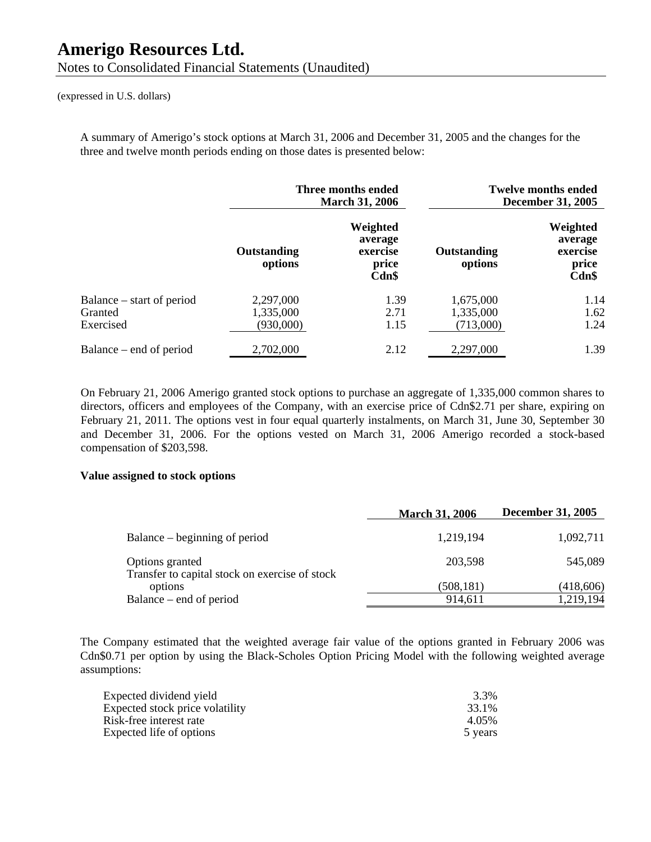A summary of Amerigo's stock options at March 31, 2006 and December 31, 2005 and the changes for the three and twelve month periods ending on those dates is presented below:

|                                                   | Three months ended<br><b>March 31, 2006</b> |                                                   |                                     | <b>Twelve months ended</b><br><b>December 31, 2005</b> |
|---------------------------------------------------|---------------------------------------------|---------------------------------------------------|-------------------------------------|--------------------------------------------------------|
|                                                   | Outstanding<br>options                      | Weighted<br>average<br>exercise<br>price<br>Cdn\$ | Outstanding<br>options              | Weighted<br>average<br>exercise<br>price<br>Cdn\$      |
| Balance – start of period<br>Granted<br>Exercised | 2,297,000<br>1,335,000<br>(930,000)         | 1.39<br>2.71<br>1.15                              | 1,675,000<br>1,335,000<br>(713,000) | 1.14<br>1.62<br>1.24                                   |
| Balance – end of period                           | 2,702,000                                   | 2.12                                              | 2,297,000                           | 1.39                                                   |

On February 21, 2006 Amerigo granted stock options to purchase an aggregate of 1,335,000 common shares to directors, officers and employees of the Company, with an exercise price of Cdn\$2.71 per share, expiring on February 21, 2011. The options vest in four equal quarterly instalments, on March 31, June 30, September 30 and December 31, 2006. For the options vested on March 31, 2006 Amerigo recorded a stock-based compensation of \$203,598.

#### **Value assigned to stock options**

|                                                                   | <b>March 31, 2006</b> | <b>December 31, 2005</b> |
|-------------------------------------------------------------------|-----------------------|--------------------------|
| Balance – beginning of period                                     | 1,219,194             | 1,092,711                |
| Options granted<br>Transfer to capital stock on exercise of stock | 203,598               | 545,089                  |
| options                                                           | (508,181)             | (418,606)                |
| Balance – end of period                                           | 914,611               | 1,219,194                |

The Company estimated that the weighted average fair value of the options granted in February 2006 was Cdn\$0.71 per option by using the Black-Scholes Option Pricing Model with the following weighted average assumptions:

| Expected dividend yield         | 3.3%    |
|---------------------------------|---------|
| Expected stock price volatility | 33.1%   |
| Risk-free interest rate         | 4.05%   |
| Expected life of options        | 5 years |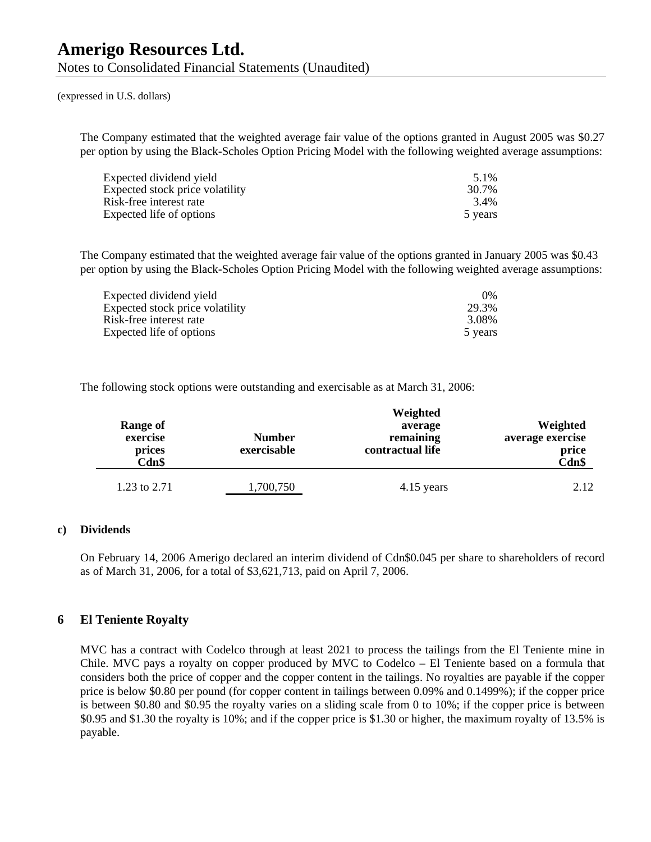The Company estimated that the weighted average fair value of the options granted in August 2005 was \$0.27 per option by using the Black-Scholes Option Pricing Model with the following weighted average assumptions:

| Expected dividend yield         | 5.1%    |
|---------------------------------|---------|
| Expected stock price volatility | 30.7%   |
| Risk-free interest rate         | 3.4%    |
| Expected life of options        | 5 years |

The Company estimated that the weighted average fair value of the options granted in January 2005 was \$0.43 per option by using the Black-Scholes Option Pricing Model with the following weighted average assumptions:

| Expected dividend yield         | $0\%$   |
|---------------------------------|---------|
| Expected stock price volatility | 29.3%   |
| Risk-free interest rate         | 3.08%   |
| Expected life of options        | 5 years |

The following stock options were outstanding and exercisable as at March 31, 2006:

| Range of<br>exercise<br>prices<br>Cdn\$ | <b>Number</b><br>exercisable | Weighted<br>average<br>remaining<br>contractual life | Weighted<br>average exercise<br>price<br>Cdn\$ |
|-----------------------------------------|------------------------------|------------------------------------------------------|------------------------------------------------|
| 1.23 to 2.71                            | 1,700,750                    | 4.15 years                                           | 2.12                                           |

#### **c) Dividends**

On February 14, 2006 Amerigo declared an interim dividend of Cdn\$0.045 per share to shareholders of record as of March 31, 2006, for a total of \$3,621,713, paid on April 7, 2006.

#### **6 El Teniente Royalty**

MVC has a contract with Codelco through at least 2021 to process the tailings from the El Teniente mine in Chile. MVC pays a royalty on copper produced by MVC to Codelco – El Teniente based on a formula that considers both the price of copper and the copper content in the tailings. No royalties are payable if the copper price is below \$0.80 per pound (for copper content in tailings between 0.09% and 0.1499%); if the copper price is between \$0.80 and \$0.95 the royalty varies on a sliding scale from 0 to 10%; if the copper price is between \$0.95 and \$1.30 the royalty is 10%; and if the copper price is \$1.30 or higher, the maximum royalty of 13.5% is payable.